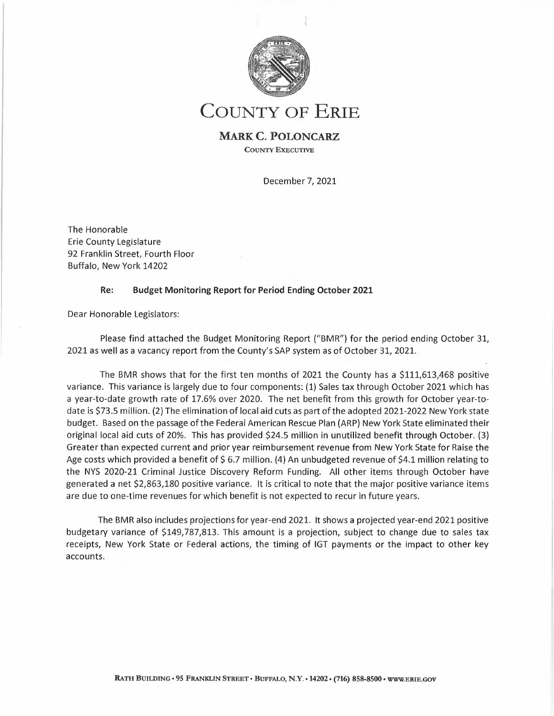

# **COUNTY OF ERIE**

### **MARK C. POLONCARZ COUNTY EXECUTIVE**

December 7, 2021

The Honorable Erie County Legislature 92 Franklin Street, Fourth Floor Buffalo, New York 14202

### **Re: Budget Monitoring Report for Period Ending October 2021**

Dear Honorable Legislators:

Please find attached the Budget Monitoring Report ("BMR") for the period ending October 31, 2021 as well as <sup>a</sup> vacancy report from the County's SAP system as of October 31, 2021.

The BMR shows that for the first ten months of 2021 the County has <sup>a</sup> \$111,613,468 positive variance. This variance is largely due to four components: (1) Sales tax through October 2021 which has <sup>a</sup> year-to-date growth rate of 17.6% over 2020. The net benefit from this growth for October year-todate is \$73.5 million. (2) The elimination of local aid cuts as part of the adopted 2021-2022 New York state budget. Based on the passage of the Federal American Rescue Plan (ARP) New York State eliminated their original local aid cuts of 20%. This has provided \$24.5 million in unutilized benefit through October. (3) Greater than expected current and prior year reimbursement revenue from New York State for Raise the Age costs which provided a benefit of \$6.7 million. (4) An unbudgeted revenue of \$4.1 million relating to the NYS 2020-21 Criminal Justice Discovery Reform Funding. All other items through October have generated <sup>a</sup> net \$2,863,180 positive variance. It is critical to note that the major positive variance items are due to one-time revenues for which benefit is not expected to recur in future years.

The BMR also includes projections for year-end 2021. It shows <sup>a</sup> projected year-end 2021 positive budgetary variance of \$149,787,813. This amount is <sup>a</sup> projection, subject to change due to sales tax receipts, New York State or Federal actions, the timing of IGT payments or the impact to other key accounts.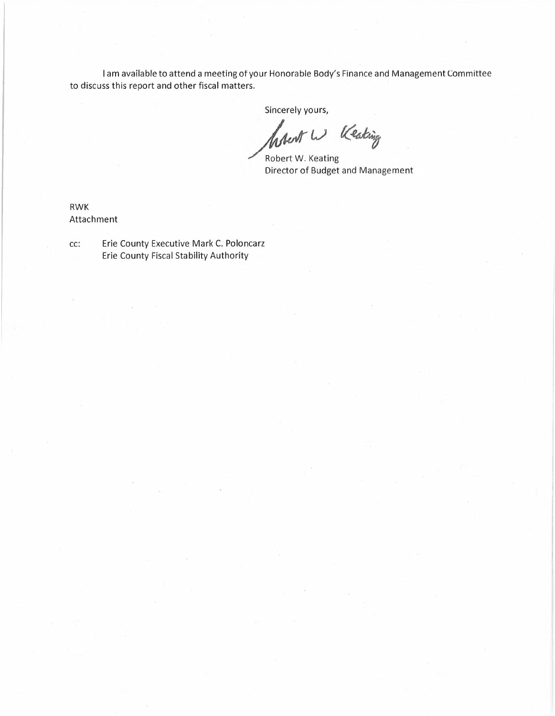<sup>I</sup> am available to attend <sup>a</sup> meeting otyour Honorable Body's Finance and Management Committee to discuss this report and other fiscal matters.

Sincerely yours,

**your Honorable**<br>
Sincerely yo<br>
Sincerely yo<br>
Robert W. K<br>
Director of P ours,<br>*W<sup>.</sup> Keaking*<br>Ceating<br>Budget and Mana

Director of Budge t and Management

RWK Attachment

cc: Erie County Executive Mark C. Poloncarz Erie County Fiscal Stability Authority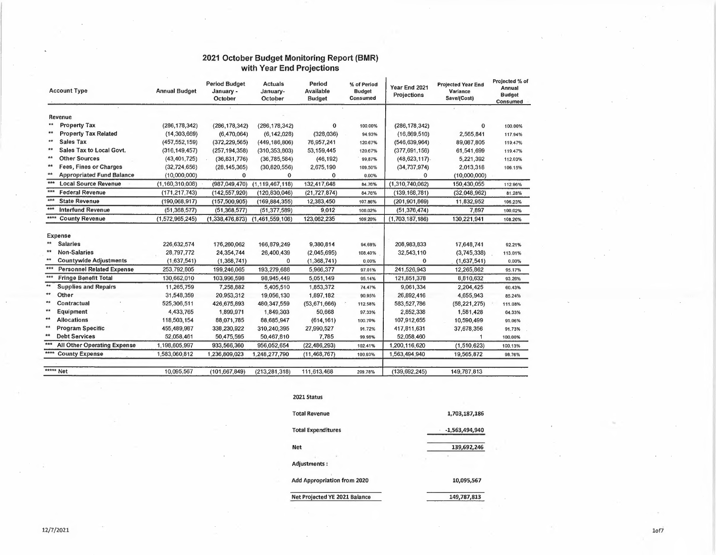#### **2021 October Budget Monitoring Report (BMR) with Year End Projections**

|         | <b>Account Type</b>                | <b>Annual Budget</b> | <b>Period Budget</b><br>January -<br>October | <b>Actuals</b><br>January-<br>October | Period<br>Available<br><b>Budget</b> | % of Period<br><b>Budget</b><br>Consumed | Year End 2021<br>Projections | <b>Projected Year End</b><br>Variance<br>Save/(Cost) | Projected % of<br>Annual<br><b>Budget</b><br>Consumed |
|---------|------------------------------------|----------------------|----------------------------------------------|---------------------------------------|--------------------------------------|------------------------------------------|------------------------------|------------------------------------------------------|-------------------------------------------------------|
| Revenue |                                    |                      |                                              |                                       |                                      |                                          |                              |                                                      |                                                       |
| $**$    | <b>Property Tax</b>                | (286, 178, 342)      | (286, 178, 342)                              | (286, 178, 342)                       | $\Omega$                             | 100.00%                                  | (286, 178, 342)              | 0                                                    | 100.00%                                               |
|         | <b>Property Tax Related</b>        | (14, 303, 669)       | (6,470,064)                                  | (6, 142, 028)                         | (328,036)                            | 94.93%                                   | (16, 869, 510)               | 2,565,841                                            | 117.94%                                               |
| $**$    | <b>Sales Tax</b>                   | (457, 552, 159)      | (372, 229, 565)                              | (449, 186, 806)                       | 76,957,241                           | 120.67%                                  | (546, 639, 964)              | 89.087.805                                           | 119.47%                                               |
| $**$    | Sales Tax to Local Govt.           | (316, 149, 457)      | (257, 194, 358)                              | (310, 353, 803)                       | 53, 159, 445                         | 120.67%                                  | (377, 691, 156)              | 61,541,699                                           | 119.47%                                               |
| $**$    | <b>Other Sources</b>               | (43, 401, 725)       | (36, 831, 776)                               | (36, 785, 584)                        | (46, 192)                            | 99.87%                                   | $(48, 623, 117)$ .           | 5,221,392                                            | 112.03%                                               |
| $**$    | <b>Fees, Fines or Charges</b>      | (32, 724, 656)       | (28, 145, 365)                               | (30, 820, 556)                        | 2,675,190                            | 109.50%                                  | (34, 737, 974)               | 2,013,318                                            | 106.15%                                               |
| **      | <b>Appropriated Fund Balance</b>   | (10,000,000)         | $\mathbf{0}$                                 | $\Omega$                              | $\mathbf 0$                          | 0.00%                                    | 0                            | (10,000,000)                                         |                                                       |
| ***     | <b>Local Source Revenue</b>        | (1,160,310,008)      | (987,049,470)                                | (1, 119, 467, 118)                    | 132,417,648                          | 84.76%                                   | (1,310,740,062)              | 150,430,055                                          | 112.96%                                               |
| ***     | <b>Federal Revenue</b>             | (171, 217, 743)      | (142, 557, 920)                              | (120, 830, 046)                       | (21, 727, 874)                       | 84.76%                                   | (139, 168, 781)              | (32,048,962)                                         | 81.28%                                                |
| $***$   | <b>State Revenue</b>               | (190,068,917)        | (157,500,905)                                | (169, 884, 355)                       | 12,383,450                           | 107.86%                                  | (201, 901, 869)              | 11,832,952                                           | 106.23%                                               |
| ***     | <b>Interfund Revenue</b>           | (51, 368, 577)       | (51, 368, 577)                               | (51, 377, 589)                        | 9,012                                | 100.02%                                  | (51, 376, 474)               | 7,897                                                | 100.02%                                               |
| ****    | <b>County Revenue</b>              | (1,572,965,245)      | (1,338,476,873)                              | (1,461,559,108)                       | 123,082,235                          | 109.20%                                  | (1,703,187,186)              | 130,221,941                                          | 108.26%                                               |
|         | <b>Expense</b>                     |                      |                                              |                                       |                                      |                                          |                              |                                                      |                                                       |
| $**$    | <b>Salaries</b>                    | 226,632,574          | 176,260,062                                  | 166,879,249                           | 9,380,814                            | 94.68%                                   | 208,983,833                  | 17,648,741                                           | 92.21%                                                |
| $**$    | <b>Non-Salaries</b>                | 28,797,772           | 24,354,744                                   | 26,400,439                            | (2,045,695)                          | 108.40%                                  | 32,543,110                   | (3,745,338)                                          | 113.01%                                               |
| $**$    | <b>Countywide Adjustments</b>      | (1,637,541)          | (1,368,741)                                  | 0                                     | (1,368,741)                          | 0.00%                                    | $\mathbf 0$                  | (1,637,541)                                          | 0,00%                                                 |
| ***     | <b>Personnel Related Expense</b>   | 253,792,805          | 199,246,065                                  | 193,279,688                           | 5,966,377                            | 97.01%                                   | 241,526,943                  | 12,265,862                                           | 95.17%                                                |
| ***     | <b>Fringe Benefit Total</b>        | 130,662,010          | 103,996,598                                  | 98,945,449                            | 5,051,149                            | 95.14%                                   | 121,851,378                  | 8,810,632                                            | 93.26%                                                |
| **      | <b>Supplies and Repairs</b>        | 11,265,759           | 7,258,882                                    | 5,405,510                             | 1,853,372                            | 74.47%                                   | 9,061,334                    | 2,204,425                                            | 60.43%                                                |
| **      | Other                              | 31,548,359           | 20,953,312                                   | 19,056,130                            | 1,897,182                            | 90.95%                                   | 26,892,416                   | 4,655,943                                            | 85.24%                                                |
| **      | Contractual                        | 525,306,511          | 426.675.893                                  | 480, 347, 559                         | (53, 671, 666)                       | 112.58%                                  | 583, 527, 786                | (58, 221, 275)                                       | 111.08%                                               |
| **      | Equipment                          | 4,433,765            | 1,899,971                                    | 1,849,303                             | 50,668                               | 97.33%                                   | 2,852,338                    | 1,581,428                                            | 64.33%                                                |
| **      | <b>Allocations</b>                 | 118,503,154          | 88.071.785                                   | 88,685,947                            | (614, 161)                           | 100.70%                                  | 107.912.655                  | 10,590,499                                           | 91.06%                                                |
| **      | <b>Program Specific</b>            | 455,489,987          | 338,230,922                                  | 310,240,395                           | 27,990,527                           | 91.72%                                   | 417,811,631                  | 37,678,356                                           | 91.73%                                                |
|         | <b>Debt Services</b>               | 52,058,461           | 50,475,595                                   | 50,467,810                            | 7,785                                | 99.98%                                   | 52,058,460                   |                                                      | 100,00%                                               |
| ***     | <b>All Other Operating Expense</b> | 1,198,605,997        | 933,566,360                                  | 956,052,654                           | (22, 486, 293)                       | 102.41%                                  | 1,200,116,620                | (1,510,623)                                          | 100.13%                                               |
|         | <b>County Expense</b>              | 1,583,060,812        | 1,236,809,023                                | 1,248,277,790                         | (11, 468, 767)                       | 100.93%                                  | 1,563,494,940                | 19,565,872                                           | 98.76%                                                |
|         | ***** Net                          | 10,095,567           | (101, 667, 849)                              | (213, 281, 318)                       | 111,613,468                          | 209.78%                                  | (139, 692, 245)              | 149,787,813                                          |                                                       |
|         |                                    |                      |                                              |                                       |                                      |                                          |                              |                                                      |                                                       |

**2021 Status**

| <b>Total Revenue</b>          | 1,703,187,186    |
|-------------------------------|------------------|
| <b>Total Expenditures</b>     | $-1,563,494,940$ |
| <b>Net</b>                    | 139,692,246      |
| <b>Adjustments:</b>           |                  |
| Add Appropriation from 2020   | 10,095,567       |
| Net Projected YE 2021 Balance | 149,787,813      |

 $\sim$ 

 $\rightarrow$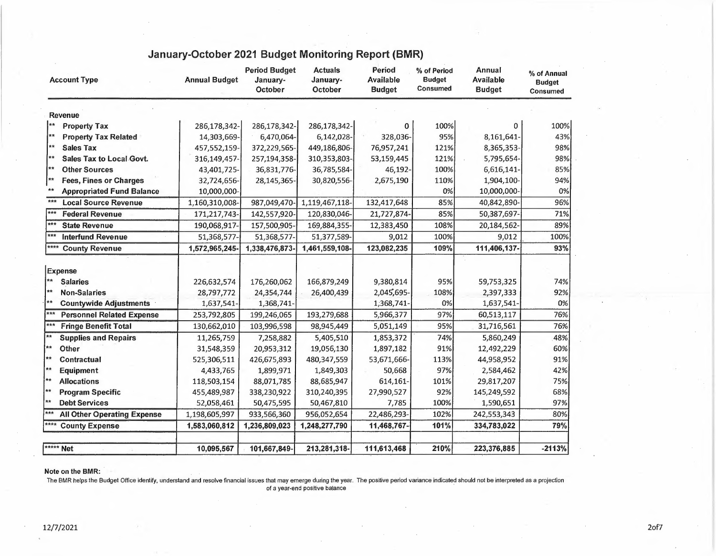| <b>Account Type</b>                                                 | <b>Annual Budget</b> | <b>Period Budget</b><br>January-<br>October | <b>Actuals</b><br>January-<br>October | Period<br><b>Available</b><br><b>Budget</b> | % of Period<br><b>Budget</b><br><b>Consumed</b> | Annual<br><b>Available</b><br><b>Budget</b> | % of Annual<br><b>Budget</b><br><b>Consumed</b> |
|---------------------------------------------------------------------|----------------------|---------------------------------------------|---------------------------------------|---------------------------------------------|-------------------------------------------------|---------------------------------------------|-------------------------------------------------|
| <b>Revenue</b>                                                      |                      |                                             |                                       |                                             |                                                 |                                             |                                                 |
| 大大<br><b>Property Tax</b>                                           | 286,178,342-         | 286,178,342-                                | 286,178,342-                          | 0                                           | 100%                                            | 0                                           | 100%                                            |
| 大大<br><b>Property Tax Related</b>                                   | 14,303,669-          | 6,470,064-                                  | 6,142,028-                            | 328,036-                                    | 95%                                             | 8,161,641-                                  | 43%                                             |
| **<br><b>Sales Tax</b>                                              | 457,552,159-         | 372,229,565-                                | 449,186,806-                          | 76,957,241                                  | 121%                                            | 8,365,353-                                  | 98%                                             |
| $\pmb{\hat{\pi}}\pmb{\hat{\pi}}$<br><b>Sales Tax to Local Govt.</b> | 316,149,457-         | 257,194,358-                                | 310,353,803-                          | 53,159,445                                  | 121%                                            | 5,795,654-                                  | 98%                                             |
| ▌★★<br><b>Other Sources</b>                                         | 43,401,725-          | 36,831,776-                                 | 36,785,584-                           | 46,192-                                     | 100%                                            | 6,616,141-                                  | 85%                                             |
| **<br><b>Fees, Fines or Charges</b>                                 | 32,724,656-          | 28,145,365-                                 | 30,820,556-                           | 2,675,190                                   | 110%                                            | 1,904,100-                                  | 94%                                             |
| **<br><b>Appropriated Fund Balance</b>                              | 10,000,000-          |                                             |                                       |                                             | 0%                                              | 10,000,000-                                 | 0%                                              |
| ***<br><b>Local Source Revenue</b>                                  | 1,160,310,008-       | 987,049,470                                 | 1,119,467,118-                        | 132,417,648                                 | 85%                                             | 40,842,890-                                 | 96%                                             |
| ***<br><b>Federal Revenue</b>                                       | 171,217,743-         | 142,557,920-                                | 120,830,046-                          | 21,727,874-                                 | 85%                                             | 50,387,697                                  | 71%                                             |
| ***<br><b>State Revenue</b>                                         | 190,068,917-         | 157,500,905-                                | 169,884,355-                          | 12,383,450                                  | 108%                                            | 20,184,562-                                 | 89%                                             |
| 大大大<br><b>Interfund Revenue</b>                                     | 51,368,577-          | 51,368,577-                                 | 51,377,589-                           | 9.012                                       | 100%                                            | 9.012                                       | 100%                                            |
| ****<br><b>County Revenue</b>                                       | 1,572,965,245-       | 1,338,476,873-                              | 1,461,559,108-                        | 123,082,235                                 | 109%                                            | 111,406,137-                                | 93%                                             |
| <b>Expense</b>                                                      |                      |                                             |                                       |                                             |                                                 |                                             |                                                 |
| **<br><b>Salaries</b>                                               | 226,632,574          | 176,260,062                                 | 166,879,249                           | 9,380,814                                   | 95%                                             | 59,753,325                                  | 74%                                             |
| $**$<br><b>Non-Salaries</b>                                         | 28,797,772           | 24,354,744                                  | 26,400,439                            | 2,045,695-                                  | 108%                                            | 2,397,333                                   | 92%                                             |
| $**$<br><b>Countywide Adjustments</b>                               | 1,637,541-           | 1,368,741-                                  |                                       | 1,368,741-                                  | 0%                                              | 1,637,541-                                  | 0%                                              |
| ***<br><b>Personnel Related Expense</b>                             | 253,792,805          | 199,246,065                                 | 193,279,688                           | 5,966,377                                   | 97%                                             | 60,513,117                                  | 76%                                             |
| $***$<br><b>Fringe Benefit Total</b>                                | 130,662,010          | 103,996,598                                 | 98,945,449                            | 5,051,149                                   | 95%                                             | 31,716,561                                  | 76%                                             |
| $**$<br><b>Supplies and Repairs</b>                                 | 11,265,759           | 7,258,882                                   | 5,405,510                             | 1,853,372                                   | 74%                                             | 5,860,249                                   | 48%                                             |
| **<br>Other                                                         | 31,548,359           | 20,953,312                                  | 19,056,130                            | 1,897,182                                   | 91%                                             | 12,492,229                                  | 60%                                             |
| **<br><b>Contractual</b>                                            | 525,306,511          | 426,675,893                                 | 480,347,559                           | 53,671,666-                                 | 113%                                            | 44,958,952                                  | 91%                                             |
| [**<br><b>Equipment</b>                                             | 4,433,765            | 1,899,971                                   | 1,849,303                             | 50,668                                      | 97%                                             | 2,584,462                                   | 42%                                             |
| ∤∗∗<br><b>Allocations</b>                                           | 118,503,154          | 88,071,785                                  | 88,685,947                            | 614,161-                                    | 101%                                            | 29,817,207                                  | 75%                                             |
| **<br><b>Program Specific</b>                                       | 455,489,987          | 338,230,922                                 | 310,240,395                           | 27,990,527                                  | 92%                                             | 145,249,592                                 | 68%                                             |
| ¦∗∗<br><b>Debt Services</b>                                         | 52,058,461           | 50,475,595                                  | 50,467,810                            | 7,785                                       | 100%                                            | 1,590,651                                   | 97%                                             |
| $\overline{***}$<br><b>All Other Operating Expense</b>              | 1,198,605,997        | 933,566,360                                 | 956,052,654                           | 22,486,293-                                 | 102%                                            | 242,553,343                                 | 80%                                             |
| **** County Expense                                                 | 1,583,060,812        | 1,236,809,023                               | 1,248,277,790                         | 11,468,767                                  | 101%                                            | 334,783,022                                 | 79%                                             |
| ***** Net                                                           | 10,095,567           | 101,667,849-                                | 213,281,318-                          | 111,613,468                                 | 210%                                            | 223,376,885                                 | $-2113%$                                        |

## **January-October 2021 Budget Monitoring Report (BMR)**

#### **Note on the BMR:**

The BMR helps the Budget Office identify, understand and resolve financial issues that may emerge during the year. The positive period variance indicated should not be interpreted as a projection of <sup>a</sup> year-end positive balance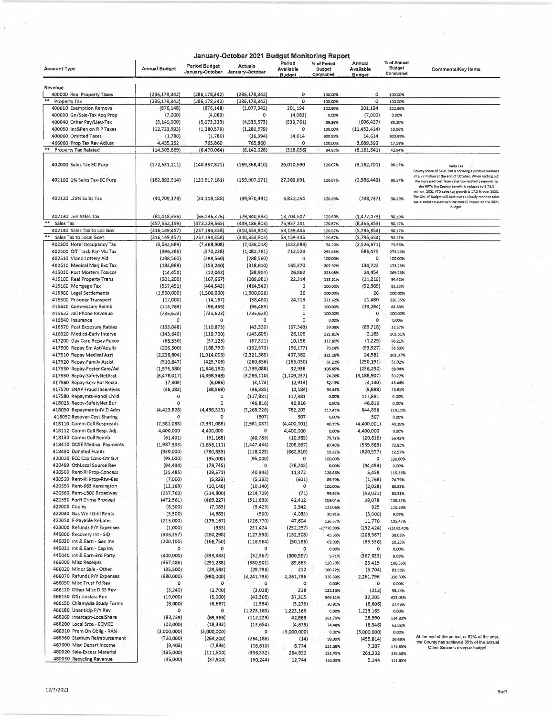|                                                           |                            |                                         | January-October 2021 Budget Monitoring Report |                                      |                                          |                                      |                                          |                                                                                                                                                                                                                                   |
|-----------------------------------------------------------|----------------------------|-----------------------------------------|-----------------------------------------------|--------------------------------------|------------------------------------------|--------------------------------------|------------------------------------------|-----------------------------------------------------------------------------------------------------------------------------------------------------------------------------------------------------------------------------------|
| <b>Account Type</b>                                       | <b>Annual Budget</b>       | <b>Period Budget</b><br>January-October | Actuals<br>January-October                    | Period<br>Avallable<br><b>Budget</b> | % of Period<br><b>Budget</b><br>Consumed | Annual<br>Available<br><b>Budget</b> | % of Annual<br><b>Budget</b><br>Consumed | <b>Comments/Key Items</b>                                                                                                                                                                                                         |
| Revenue                                                   |                            |                                         |                                               |                                      |                                          |                                      |                                          |                                                                                                                                                                                                                                   |
| 400000 Real Property Taxes                                | (286, 178, 342)            | (286,178,342)                           | (286, 178, 342)                               | o                                    | 100.00%                                  | ٥                                    | 100.00%                                  |                                                                                                                                                                                                                                   |
| **<br>Property Tax                                        | (286, 178, 342)            | (286, 178, 342)                         | (286, 178, 342)                               | 0                                    | 100.00%                                  | o                                    | 100.00%                                  |                                                                                                                                                                                                                                   |
| 400010 Exemption Removal<br>400030 Gn/Sale-Tax Acq Prop   | (876, 148)<br>(7,000)      | (876, 148)<br>(4,083)                   | (1,077,342)<br>o                              | 201,194<br>(4,083)                   | 122.96%<br>0.00%                         | 201,194<br>(7,000)                   | 122.96%<br>0.00%                         |                                                                                                                                                                                                                                   |
| 400040 Other Pay/Lieu-Tax                                 | (5, 140, 000)              | (5,073,333)                             | (4,533,573)                                   | (539, 761)                           | 89.36%                                   | (606, 427)                           | 88.20%                                   |                                                                                                                                                                                                                                   |
| 400050 Int&Pen on R P Taxes                               | (12,733,993)               | (1,280,579)                             | (1,280,579)                                   | o                                    | 100.00%                                  | (11, 453, 414)                       | 10.06%                                   |                                                                                                                                                                                                                                   |
| 400060 Omitted Taxes                                      | (1,780)                    | (1,780)                                 | (16, 394)                                     | 14,614                               | 920.99%                                  | 14,614                               | 920.99%                                  |                                                                                                                                                                                                                                   |
| 466060 Prop Tax Rev Adjust                                | 4,455,252                  | 765,860                                 | 765,860                                       | 0                                    | 100.00%                                  | 3,689,392                            | 17.19%                                   |                                                                                                                                                                                                                                   |
| <b>Property Tax Related</b>                               | (14, 303, 669)             | (6,470,064)                             | (6, 142, 028)                                 | (328, 036)                           | 94.93%                                   | (8, 161, 641)                        | 42.94%                                   |                                                                                                                                                                                                                                   |
| 402000 Sales Tax EC Purp                                  | (172, 531, 111)            | (140, 357, 821)                         | (169, 368, 410)                               | 29,010,590                           | 120.67%                                  | (3, 162, 701)                        | 98.17%                                   | Sales Tax<br>County Share of Sales Tax is showing a positive variance                                                                                                                                                             |
| 402100 1% Sales Tax-EC Purp                               | (162,893,514)              | (132,517,181)                           | (159,907,071)                                 | 27,389,891                           | 120.67%                                  | (2,986,443)                          | 98.17%                                   | of \$ 77 million at the end of October. When netting out<br>the increased cost from sales tax-related payments to<br>the NFTA the County benefit is reduced to \$73.\$<br>million. 2021 YTD sales tax growth is 17.2 % over 2020. |
| 402120 .25% Sales Tax                                     | (40, 709, 178)             | (33, 118, 188)                          | (39, 970, 441)                                | 6,852,254                            | 120.69%                                  | (738, 737)                           | 98.19%                                   | The Div. of Budget will continue to closely monitor sales<br>tax in order to ascertain the overall impact on the 2021<br>budget.                                                                                                  |
| 402130 .5% Sales Tax                                      | (81, 418, 356)             | (66, 236, 376)                          | (79,940,883)                                  | 13,704,507                           | 120.69%                                  | (1, 477, 473)                        | 98.19%                                   |                                                                                                                                                                                                                                   |
| Sales Tax                                                 | (457,552,159)              | (372, 229, 565)                         | (449,186,806)                                 | 76,957,241                           | 120.67%                                  | (8,365,353)                          | 98.17%                                   |                                                                                                                                                                                                                                   |
| 402140 Sales Tax to Loc Gov                               | (316, 149, 457)            | (257, 194, 358)                         | (310, 353, 803)                               | 53,159,445                           | 120.67%                                  | (5,795,654)                          | 98.17%                                   |                                                                                                                                                                                                                                   |
| Sales Tax to Local Govt.                                  | (316, 149, 457)            | (257, 194, 358)                         | (310, 353, 803)                               | 53,159,445                           | 120,67%                                  | (5,795,654)                          | 98.17%                                   |                                                                                                                                                                                                                                   |
| 402300 Hotel Occupancy Tax                                | (9,562,689)                | (7,468,908)                             | (7,036,018)                                   | (432, 889)                           | 94.20%                                   | (2,526,671)                          | 73.58%                                   |                                                                                                                                                                                                                                   |
| 402500 Off Track Par-Mu Tax<br>402510 Video Lottery Aid   | (396, 286)                 | (370, 238)                              | (1,082,761)                                   | -712,523                             | 292.45%                                  | 686,475                              | 273.23%                                  |                                                                                                                                                                                                                                   |
| 402610 Medical Marj Exc Tax                               | (288, 560)<br>(183, 888)   | (288, 560)<br>(153, 240)                | (288, 560)<br>(318, 610)                      | o<br>165,370                         | 100.00%<br>207.92%                       | o<br>134,722                         | 100.00%<br>173.26%                       |                                                                                                                                                                                                                                   |
| 415010 Post Mortem Toxicol                                | (14, 450)                  | (12,042)                                | (38,904)                                      | 26,862                               | 323.08%                                  | 24,454                               | 269.23%                                  |                                                                                                                                                                                                                                   |
| 415100 Real Property Trans                                | (201, 200)                 | (167, 667)                              | (189, 981)                                    | 22,314                               | 113.31%                                  | (11, 219)                            | 94.42%                                   |                                                                                                                                                                                                                                   |
| 415160 Mortgage Tax                                       | (557, 451)                 | (464, 543)                              | (464, 543)                                    | $\circ$                              | 100.00%                                  | (92, 909)                            | 83.33%                                   |                                                                                                                                                                                                                                   |
| 415360 Legal Settlements                                  | (1,500,000)                | (1,500,000)                             | (1,500,026)                                   | 26                                   | 100.00%                                  | 26                                   | 100.00%                                  |                                                                                                                                                                                                                                   |
| 415500 Prisoner Transport                                 | (17,000)                   | (14, 167)                               | (38, 480)                                     | 24,313                               | 271.62%                                  | 21,480                               | 226.35%                                  |                                                                                                                                                                                                                                   |
| 415620 Commissary Reimb                                   | (115, 763)                 | (96, 469)                               | (96, 469)                                     | o<br>O                               | 100.00%                                  | (19, 294)                            | 83.33%                                   |                                                                                                                                                                                                                                   |
| 415622 Jail Phone Revenue<br>416540 Insurance             | (735, 623)<br>$\Omega$     | (735, 623)<br>0                         | (735, 625)<br>$\Omega$                        | O                                    | 100.00%<br>0.00%                         | o<br>$\circ$                         | 100.00%<br>0.00%                         |                                                                                                                                                                                                                                   |
| 416570 Post Exposure Rabies                               | (133,048)                  | (110, 873)                              | (43, 330)                                     | (67, 543)                            | 39.08%                                   | (89,718)                             | 32.57%                                   |                                                                                                                                                                                                                                   |
| 416920 Medicd-Early Interve                               | (143, 640)                 | (119,700)                               | (145, 805)                                    | 26,105                               | 121.81%                                  | 2,165                                | 101.51%                                  |                                                                                                                                                                                                                                   |
| 417200 Day Care Repay Recov                               | (68, 550)                  | (57, 125)                               | (67, 321)                                     | 10,196                               | 117.85%                                  | (1,229)                              | 98.21%                                   |                                                                                                                                                                                                                                   |
| 417500 Repay Em Ast/Adults                                | (226, 500)                 | (188, 750)                              | (132, 573)                                    | (56, 177)                            | 70.24%                                   | (93, 927)                            | 58.53%                                   |                                                                                                                                                                                                                                   |
| 417510 Repay Medical Asst                                 | (2, 296, 804)              | (1,914,003)                             | (2, 321, 385)                                 | 407,382                              | 121.28%                                  | 24,581                               | 101.07%                                  |                                                                                                                                                                                                                                   |
| 417520 Repay-Family Assist                                | (510, 847)                 | (425, 706)                              | (260, 656)                                    | (165,050)<br>92,938                  | 61.23%                                   | (250, 191)                           | 51.02%                                   |                                                                                                                                                                                                                                   |
| 417530 Repay-Foster Care/Ad<br>417550 Repay-SafetyNetAsst | (1,975,380)<br>(6,478,017) | (1,646,150)<br>(4,398,348)              | (1,739,088)<br>(3,289,110)                    | (1, 109, 237)                        | 105.65%<br>74.78%                        | (236, 292)<br>(3, 188, 907)          | 88.04%<br>50.77%                         |                                                                                                                                                                                                                                   |
| 417560 Repay-Serv For Recip                               | (7, 303)                   | (6,086)                                 | (3, 173)                                      | (2, 913)                             | 52.13%                                   | (4, 130)                             | 43.44%                                   |                                                                                                                                                                                                                                   |
| 417570 SNAP Fraud Incentives                              | (46, 283)                  | (38, 569)                               | (36, 385)                                     | (2, 184)                             | 94.34%                                   | (9,898)                              | 78.61%                                   |                                                                                                                                                                                                                                   |
| 417580 Repaymts-Handi Child                               | 0                          | o                                       | (117, 881)                                    | 117,881                              | 0.00%                                    | 117,881                              | 0.00%                                    |                                                                                                                                                                                                                                   |
| 418025 Recov-SafetyNet Bur                                | $\circ$                    | $\circ$                                 | (46, 816)                                     | 46,316                               | 0.00%                                    | 46,816                               | 0.00%                                    |                                                                                                                                                                                                                                   |
| 418030 Repayments-IV D Adm<br>418090 Recover-Cost Sharing | (4, 423, 828)<br>o         | (4,486,523)<br>$\Omega$                 | (5,268,726)<br>(507)                          | 782,203<br>507                       | 117,43%<br>0.00%                         | 844,898<br>507                       | 119.10%<br>0.00%                         |                                                                                                                                                                                                                                   |
| 418110 Comm Coll Respreads                                | (7, 381, 088)              | (7,381,088)                             | (2,981,087)                                   | (4,400,001)                          | 40.39%                                   | (4,400,001)                          | 40.39%                                   |                                                                                                                                                                                                                                   |
| 418112 Comm Coll Resp. Adj.                               | 4,400,000                  | 4,400,000                               | o                                             | 4,400,000                            | 0.00%                                    | 4,400,000                            | 0.00%                                    |                                                                                                                                                                                                                                   |
| 418130 Comm Coll Reimb                                    | (61, 401)                  | (51, 168)                               | (40, 785)                                     | (10, 383)                            | 79.71%                                   | (20, 616)                            | 66.42%                                   |                                                                                                                                                                                                                                   |
| 418410 OCSE Medical Payments                              | (1,987,333)                | (1,656,111)                             | (1, 447, 444)                                 | (208, 567)                           | 87.40%                                   | (539, 889)                           | 72.83%                                   |                                                                                                                                                                                                                                   |
| 418430 Donated Funds                                      | (939,000)                  | (780, 833)                              | (118,023)                                     | (662, 810)                           | 15.12%                                   | (820, 977)                           | 12.57%                                   |                                                                                                                                                                                                                                   |
| 420020 ECC Cap Cons-Otr Gvt                               | (95,000)                   | (95,000)                                | (95,000)                                      | o                                    | 100.00%                                  | $\circ$                              | 100.00%                                  |                                                                                                                                                                                                                                   |
| 420499 OthLocal Source Rev<br>420500 Rent-RI Prop-Concess | (94, 494)<br>(35, 485)     | (78, 745)<br>(29, 571)                  | 0<br>(40, 943)                                | (78, 745)<br>11,372                  | 0.00%<br>138.46%                         | (94, 494)<br>5,458                   | 0,00%<br>115.38%                         |                                                                                                                                                                                                                                   |
| 420520 Rent-RI Prop-Rtw-Eas                               | (7,000)                    | (5,833)                                 | (5, 232)                                      | (601)                                | 89.70%                                   | (1,768)                              | 74,75%                                   |                                                                                                                                                                                                                                   |
| 420550 Rent-663 Kensington                                | (12, 168)                  | (10, 140)                               | (10, 140)                                     | o                                    | 100.00%                                  | (2,028)                              | 83.33%                                   |                                                                                                                                                                                                                                   |
| 420560 Rent-1500 Broadway                                 | (257,760)                  | (214, 800)                              | (214, 729)                                    | (71)                                 | 99.97%                                   | (43, 031)                            | 83.31%                                   |                                                                                                                                                                                                                                   |
| 421550 Forft Crime Proceed                                | (472, 561)                 | (469,227)                               | (511, 639)                                    | 42,412                               | 109.04%                                  | 39,078                               | 108.27%                                  |                                                                                                                                                                                                                                   |
| 422000 Copies                                             | (8,500)                    | (7,083)                                 | (9,425)                                       | 2,342                                | 133.06%                                  | 925                                  | 110.89%                                  |                                                                                                                                                                                                                                   |
| 422040 Gas Well Drill Rents<br>422050 E-Payable Rebates   | (5,500)<br>(215,000)       | (4,583)                                 | (500)                                         | (4,083)                              | 10.91%                                   | (5,000)                              | 9.09%                                    |                                                                                                                                                                                                                                   |
| 423000 Refunds P/Y Expenses                               | (1,000)                    | (179, 167)<br>(833)                     | (226, 770)<br>231,424                         | 47,604<br>(232,257)                  | 126.57%<br>-27770.99%                    | 11,770<br>(232, 424)                 | 105.47%<br>-23142.40%                    |                                                                                                                                                                                                                                   |
| 445000 Recovery Int - SID                                 | (336, 357)                 | (280, 298)                              | (127, 990)                                    | (152, 308)                           | 45.66%                                   | (208, 367)                           | 38.05%                                   |                                                                                                                                                                                                                                   |
| 445030 Int & Earn - Gen Inv                               | (200, 100)                 | (166, 750)                              | (116, 564)                                    | (50, 186)                            | 69,90%                                   | (83,536)                             | 58.25%                                   |                                                                                                                                                                                                                                   |
| 445031 Int & Earn - Cap Inv                               | o                          | 0                                       | 0                                             | 0                                    | 0.00%                                    | o                                    | 0,00%                                    |                                                                                                                                                                                                                                   |
| 445040 Int & Earn-3rd Party                               | (400,000)                  | (333,333)                               | (32, 367)                                     | (300, 967)                           | 9.71%                                    | (367, 633)                           | 8.09%                                    |                                                                                                                                                                                                                                   |
| 466000 Misc Receipts                                      | (357, 486)                 | (291, 238)                              | (380, 901)                                    | 89,663                               | 130,79%                                  | 23,415                               | 106.55%                                  |                                                                                                                                                                                                                                   |
| 466020 Minor Sale - Other<br>466070 Refunds P/Y Expenses  | (35,500)<br>(980,000)      | (29, 583)                               | (29, 796)                                     | 212                                  | 100.72%                                  | (5,704)                              | 83.93%                                   |                                                                                                                                                                                                                                   |
| 466090 Misc Trust Fd Rev                                  | 0                          | (980,000)<br>o                          | (3,241,796)<br>٥                              | 2,261,796<br>o                       | 330.80%<br>0.00%                         | 2,261,796<br>o                       | 330,80%<br>0.00%                         |                                                                                                                                                                                                                                   |
| 466120 Other Misc DISS Rev                                | (3, 240)                   | (2,700)                                 | (3,028)                                       | 328                                  | 112.13%                                  | (212)                                | 93.44%                                   |                                                                                                                                                                                                                                   |
| 466130 Oth Unclass Rev                                    | (10,000)                   | (S,000)                                 | (42, 305)                                     | 37,305                               | 846.11%                                  | 32,305                               | 423.05%                                  |                                                                                                                                                                                                                                   |
| 466150 Chlamydia Study Forms                              | (8,000)                    | (6,667)                                 | (1, 394)                                      | (5,273)                              | 20.91%                                   | (6,606)                              | 17.43%                                   |                                                                                                                                                                                                                                   |
| 466180 Unanticip P/Y Rev                                  | o                          | o                                       | (1,223,165)                                   | 1,223,165                            | 0.00%                                    | 1,223,165                            | 0.00%                                    |                                                                                                                                                                                                                                   |
| 466260 Intercept-LocalShare                               | (83, 239)                  | (69, 366)                               | (112, 229)                                    | 42,863                               | 161.79%                                  | 28,990                               | 134.83%                                  |                                                                                                                                                                                                                                   |
| 466280 Local Srce - ECMCC<br>466310 Prem On Oblig - RAN   | (22,000)                   | (18, 333)                               | (13, 654)                                     | (4,679)                              | 74,48%                                   | (8,346)                              | 62.06%                                   |                                                                                                                                                                                                                                   |
| 466360 Stadium Reimbursement                              | (3,000,000)<br>(720,000)   | (3,000,000)<br>(264, 200)               | 0<br>(264, 186)                               | (3,000,000)                          | 0.00%                                    | (3,000,000)                          | 0.00%                                    | At the end of the period, or 82% of the year,                                                                                                                                                                                     |
| 467000 Misc Depart Income                                 | (9,403)                    | (7, 836)                                | (16, 610)                                     | (14)<br>8,774                        | 99.99%<br>211.98%                        | (455, 814)<br>7,207                  | 36,69%<br>176.65%                        | the County has achieved 85% of the annual                                                                                                                                                                                         |
| 480020 Sale-Excess Material                               | (135,000)                  | (111,500)                               | (396,332)                                     | 284,832                              | 355.45%                                  | 261,332                              | 293.58%                                  | Other Sources revenue budget.                                                                                                                                                                                                     |
| 480030 Recycling Revenue                                  | (45,000)                   | (37,500)                                | (50, 244)                                     | 12,744                               | 133.98%                                  | 5,244                                | 111.65%                                  |                                                                                                                                                                                                                                   |

 $\overline{a}$ 

 $\ddot{\phantom{a}}$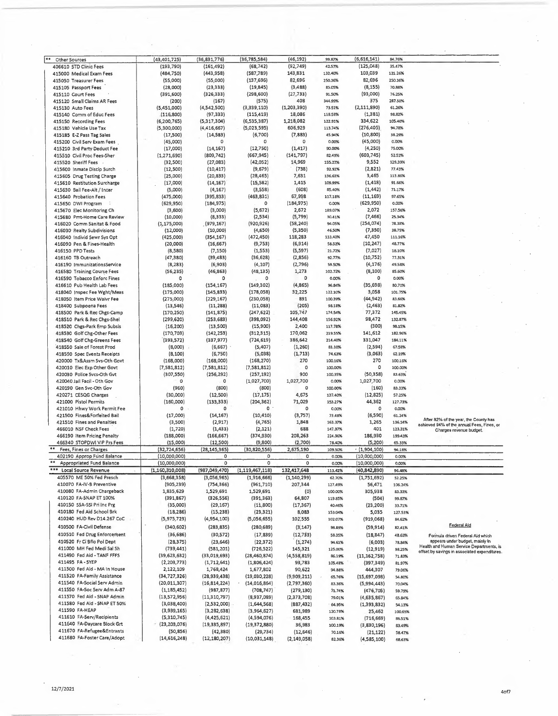| **<br>Other Sources                | (43,401,725)    | (36, 831, 776) | (36,785,584)       | (46,192)       | 99.87%  | (6,616,141)    | 84.76%  |                                               |
|------------------------------------|-----------------|----------------|--------------------|----------------|---------|----------------|---------|-----------------------------------------------|
| 406610 STD Clinic Fees             | (193, 790)      | (161, 492)     | (68, 742)          | (92,749)       | 42.57%  | (125, 048)     | 35.47%  |                                               |
| 415000 Medical Exam Fees           | (484, 750)      | (443,958)      | (587, 789)         | 143,831        | 132.40% | 103,039        | 121.26% |                                               |
| 415050 Treasurer Fees              | (55,000)        | (55,000)       | (137, 696)         | 82,696         | 250.36% | 82,696         | 250.36% |                                               |
| 415105 Passport Fees               | (28,000)        | (23, 333)      | (19, 845)          | (3, 488)       | 85.05%  | (8, 155)       | 70.88%  |                                               |
|                                    |                 |                |                    |                |         |                |         |                                               |
| 415110 Court Fees                  | (391,600)       | (326, 333)     | (298, 600)         | (27, 733)      | 91.50%  | (93,000)       | 76.25%  |                                               |
| 415120 Small Claims AR Fees        | (200)           | (167)          | (575)              | 408            | 344.99% | 375            | 287.50% |                                               |
| 415130 Auto Fees                   | (5,451,000)     | (4,542,500)    | (3,339,110)        | (1, 203, 390)  | 73.51%  | (2, 111, 890)  | 61.26%  |                                               |
| 415140 Comm of Educ Fees           | (116,800)       | (97, 333)      | (115, 419)         | 18,086         | 118.58% | (1, 381)       | 98.82%  |                                               |
|                                    |                 |                |                    | 1,218,082      |         | 334,622        | 105.40% |                                               |
| 415150 Recording Fees              | (6, 200, 765)   | (5,317,304)    | (6,535,387)        |                | 122.91% |                |         |                                               |
| 415180 Vehicle Use Tax             | (5,300,000)     | (4, 416, 667)  | (5,023,595)        | 606,929        | 113,74% | (276, 405)     | 94.78%  |                                               |
| 415185 E-Z Pass Tag Sales          | (17,500)        | (14, 583)      | (6,700)            | (7,883)        | 45.94%  | (10, 800)      | 38.29%  |                                               |
| 415200 Civil Serv Exam Fees        | (45,000)        | $\Omega$       | 0                  | 0              | 0.00%   | (45,000)       | 0.00%   |                                               |
|                                    |                 |                |                    |                | 90.00%  |                | 75.00%  |                                               |
| 415210 3rd Party Deduct Fee        | (17,000)        | (14, 167)      | (12,750)           | (1, 417)       |         | (4, 250)       |         |                                               |
| 415510 Civil Proc Fees-Sher        | (1, 271, 690)   | (809, 742)     | (667, 945)         | (141, 797)     | 82.49%  | (603, 745)     | 52.52%  |                                               |
| 415520 Sheriff Fees                | (32,500)        | (27,083)       | (42,052)           | 14,969         | 155.27% | 9,552          | 129,39% |                                               |
| 415600 Inmate Discip Surch         | (12,500)        | (10, 417)      | (9,679)            | (738)          | 92.92%  | (2,821)        | 77.43%  |                                               |
|                                    |                 |                |                    |                |         |                |         |                                               |
| 415605 Drug Testing Charge         | (25,000)        | (20, 833)      | (28, 465)          | 7,631          | 136.63% | 3,465          | 113.86% |                                               |
| 415610 Restitution Surcharge       | (17,000)        | (14, 167)      | (15, 582)          | 1,415          | 109.99% | (1, 418)       | 91.66%  |                                               |
| 415630 Bail Fee-Alt / Incar        | (5,000)         | (4, 167)       | (3,558)            | (608)          | 85.40%  | (1, 442)       | 71.17%  |                                               |
| 415640 Probation Fees              | (475,000)       | (395, 833)     | (463, 831)         | 67,998         | 117.18% | (11, 169)      | 97.65%  |                                               |
|                                    |                 |                |                    |                |         |                |         |                                               |
| 415650 DWI Program                 | (629, 950)      | (184, 975)     | $\Omega$           | (184, 975)     | 0.00%   | (629, 950)     | 0.00%   |                                               |
| 415670 Elec Monitoring Ch          | (3,600)         | (3,000)        | (5,672)            | 2,672          | 189.07% | 2,072          | 157.56% |                                               |
| 415680 Pmt-Home Care Review        | (10,000)        | (8, 333)       | (2,534)            | (5,799)        | 30.41%  | (7, 466)       | 25.34%  |                                               |
| 416020 Comm Sanitat & Food         | (1, 175, 000)   | (979,167)      | (920, 926)         | (58, 240)      | 94.05%  | (254, 074)     | 78.38%  |                                               |
|                                    |                 |                |                    |                |         |                |         |                                               |
| 416030 Realty Subdivisions         | (12,000)        | (10,000)       | (4,650)            | (5,350)        | 46.50%  | (7, 350)       | 38.75%  |                                               |
| 416040 Individ 5ewr Sys Opt        | (425,000)       | (354, 167)     | (472, 450)         | 118,283        | 133.40% | 47,450         | 111.16% |                                               |
| 416090 Pen & Fines-Health          | (20,000)        | (16, 667)      | (9,753)            | (6, 914)       | 58.52%  | (10, 247)      | 48.77%  |                                               |
| 416150 PPD Tests                   | (8,580)         | (7, 150)       | (1, 553)           | (5, 597)       | 21.72%  | (7,027)        | 18.10%  |                                               |
|                                    |                 |                |                    |                |         |                |         |                                               |
| 416160 TB Outreach                 | (47, 380)       | (39, 483)      | (36, 628)          | (2,856)        | 92.77%  | (10, 752)      | 77.31%  |                                               |
| 416190 ImmunizationsService        | (8, 283)        | (6,903)        | (4, 107)           | (2,796)        | 59.50%  | (4, 176)       | 49.58%  |                                               |
| 416580 Training Course Fees        | (56, 235)       | (46, 863)      | (48, 135)          | 1,273          | 102.72% | (8, 100)       | 85.60%  |                                               |
|                                    |                 |                |                    | 0              |         |                |         |                                               |
| 416590 Tobacco Enforc Fines        | o               | ٥              | 0                  |                | 0.00%   | $\circ$        | 0.00%   |                                               |
| 416610 Pub Health Lab Fees         | (185,000)       | (154, 167)     | (149, 302)         | (4, 865)       | 96.84%  | (35, 698)      | 80.70%  |                                               |
| 418040 Inspec Fee Wght/Meas        | (175,000)       | (145, 833)     | (178,058)          | 32,225         | 122.10% | 3,058          | 101.75% |                                               |
| 418050 Item Price Waivr Fee        | (275,000)       | (229, 167)     | (230,058)          | 891            | 100.39% | (44, 942)      | 83.66%  |                                               |
|                                    |                 |                |                    |                |         |                |         |                                               |
| 418400 Subpoena Fees               | (13,546)        | (11, 288)      | (11,083)           | (205)          | 98.18%  | (2, 463)       | 81.82%  |                                               |
| 418500 Park & Rec Chgs-Camp        | (170, 250)      | (141, 875)     | (247, 622)         | 105,747        | 174.54% | 77,372         | 145.45% |                                               |
| 418510 Park & Rec Chgs-Shel        | (299, 620)      | (253, 683)     | (398,092)          | 144,408        | 156.92% | 98,472         | 132.87% |                                               |
|                                    |                 |                |                    |                |         | (300)          |         |                                               |
| 418520 Chgs-Park Emp 5ubsis        | (16, 200)       | (13,500)       | (15,900)           | 2,400          | 117.78% |                | 98.15%  |                                               |
| 418530 Golf Chg-Other Fees         | (170, 703)      | (142, 253)     | (312, 315)         | 170,062        | 219.55% | 141,612        | 182.96% |                                               |
| 418540 Golf Chg-Greens Fees        | (393, 572)      | (337, 977)     | (724, 619)         | 386,642        | 214.40% | 331,047        | 184.11% |                                               |
| 418550 Sale of Forest Prod         | (8,000)         | (6,667)        | (5, 407)           | (1, 260)       | 81.10%  | (2, 594)       | 67.58%  |                                               |
|                                    |                 |                |                    |                |         |                |         |                                               |
| 418590 Spec Events Receipts        | (8,100)         | (6,750)        | (5,038)            | (1,713)        | 74.63%  | (3,063)        | 62.19%  |                                               |
| 420000 Tx&Assm Svs-Oth Govt        | (168,000)       | (168,000)      | (168, 270)         | 270            | 100.16% | 270            | 100.16% |                                               |
| 420010 Elec Exp Other Govt         | (7,581,812)     | (7,581,812)    | (7,581,812)        | $\circ$        | 100.00% | о              | 100.00% |                                               |
|                                    |                 |                |                    | 900            |         |                |         |                                               |
| 420030 Police Svcs-Oth Gvt         | (307, 550)      | (256, 292)     | (257, 192)         |                | 100.35% | (50, 358)      | 83.63%  |                                               |
| 420040 Jail Facil - Oth Gov        | 0               | ٥              | (1,027,700)        | 1,027,700      | 0.00%   | 1,027,700      | 0.00%   |                                               |
| 420190 Gen Svc-Oth Gov             | (960)           | (800)          | (800)              | 0              | 100.00% | (160)          | 83.33%  |                                               |
| 420271 CE5QG Charges               | (30,000)        | (12,500)       | (17, 175)          | 4,675          | 137.40% | (12, 825)      | 57.25%  |                                               |
|                                    |                 |                |                    |                |         |                |         |                                               |
| 421000 Pistol Permits              | (160,000)       | (133, 333)     | (204, 362)         | 71,029         | 153.27% | 44,362         | 127.73% |                                               |
| 421010 Hhwy Work Permit Fee        | о               | 0              | ٥                  | о              | 0.00%   | 0              | 0.00%   |                                               |
| 421500 Fines&Forfeited Bail        | (17,000)        | (14, 167)      | (10, 410)          | (3,757)        | 73.48%  | (6,590)        | 61.24%  |                                               |
| 421510 Fines and Penalties         | (3,500)         | (2, 917)       | (4, 765)           | 1,848          | 163.37% | 1,265          | 136.14% | After 82% of the year, the County has         |
|                                    |                 |                |                    |                |         |                |         | achieved 94% of the annual Fees, Fines, or    |
| 466010 NSF Check Fees              | (1, 720)        | (1,433)        | (2, 121)           | 688            | 147.97% | 401            | 123.31% | Charges revenue budget.                       |
| 466190 Item Pricing Penalty        | (188,000)       | (166, 667)     | (374, 930)         | 208,263        | 224.96% | 186,930        | 199.43% |                                               |
| 466340 STOPDWI VIP Prs Fees        | (15,000)        | (12, 500)      | (9,800)            | (2,700)        | 78.40%  | (5, 200)       | 65.33%  |                                               |
| $***$<br>Fees, Fines or Charges    | (32, 724, 656)  | (28, 145, 365) | (30,820,556)       | 2,675,190      | 109.50% | (1,904,100)    | 94.18%  |                                               |
|                                    |                 | 0              | 0                  |                |         |                |         |                                               |
| 402190 Approp Fund 8alance         | (10,000,000)    |                |                    | 0              | 0.00%   | (10,000,000)   | 0.00%   |                                               |
| **<br>Appropriated Fund Balance    | (10,000,000)    | $\circ$        | 0                  | $\mathsf{o}\,$ | 0.00%   | (10,000,000)   | 0.00%   |                                               |
| ***<br><b>Local Source Revenue</b> | (1,160,310,008) | (987,049,470)  | (1, 119, 467, 118) | 132,417,648    | 113.42% | (40, 842, 890) | 96.48%  |                                               |
| 405570 ME 50% Fed Presch           | (3,668,358)     | (3,056,965)    | (1,916,666)        | (1, 140, 299)  | 62.70%  | (1,751,692)    | 52.25%  |                                               |
| 410070 FA-IV-B Preventive          | (905, 239)      | (754, 366)     | (961, 710)         | 207,344        | 127.49% | 56,471         | 106.24% |                                               |
|                                    |                 |                |                    |                |         |                |         |                                               |
| 410080 FA-Admin Chargeback         | 1,835,629       | 1,529,691      | 1,529,691          | (0)            | 100.00% | 305,938        | 83.33%  |                                               |
| 410120 FA-5NAP ET 100%             | (391, 867)      | (326, 556)     | (391, 363)         | 64,807         | 119.85% | (504)          | 99.87%  |                                               |
| 410150 S5A-SSI Pri Inc Prg         | (35,000)        | (29, 167)      | (11,800)           | (17, 367)      | 40.46%  | (23, 200)      | 33.71%  |                                               |
| 410180 Fed Aid School Brk          | (18, 286)       | (15, 238)      | (23, 321)          | 8,083          | 153.04% | 5,035          |         |                                               |
|                                    |                 |                |                    |                |         |                | 127.53% |                                               |
| 410240 HUD Rev D14,267 CoC         | (5,975,723)     | (4,954,100)    | (5,056,655)        | 102,555        | 102.07% | (919,068)      | 84.62%  |                                               |
| 410500 FA-Civil Defense            | (340, 602)      | (283, 835)     | (280, 689)         | (3, 147)       | 98.89%  | (59, 914)      | 82,41%  | Federal Aid                                   |
|                                    |                 |                |                    |                |         |                |         |                                               |
| 410510 Fed Drug Enforcement        | (36, 686)       | (30,572)       | (17, 839)          | (12, 733)      | 58.35%  | (18, 847)      | 48.63%  | Formula driven Federal Aid which              |
| 410520 Fr Ci Bflo Pol Dept         | (28, 375)       | (23, 646)      | (22, 372)          | (1, 274)       | 94.61%  | (6,003)        | 78,84%  | appears under budget, mainly In               |
| 411000 MH Fed Medi Sal Sh          | (739, 441)      | (581, 201)     | (726, 522)         | 145,321        | 125.00% | (12, 919)      | 98.25%  | Health and Human Service Departments, is      |
| 411490 Fed Aid - TANF FFFS         | (39,623,632)    | (33,019,693)   | (28, 460, 874)     |                |         |                |         | offset by savings in associated expenditures. |
|                                    |                 |                |                    | (4,558,819)    | 86.19%  | (11, 162, 758) | 71.83%  |                                               |
| 411495 FA-5YEP                     | (2, 203, 773)   | (1,712,641)    | (1,806,424)        | 93,783         | 105.48% | (397, 349)     | 81.97%  |                                               |
| 411500 Fed Aid - MA In House       | 2,122,109       | 1,768,424      | 1,677,802          | 90,622         | 94.88%  | 444,307        | 79.06%  |                                               |
| 411520 FA-Family Assistance        | (34, 727, 326)  | (28,939,438)   | (19,030,228)       | (9,909,211)    | 65,76%  | (15,697,098)   | 54.80%  |                                               |
|                                    |                 |                |                    |                |         |                |         |                                               |
| 411540 FA-Social Serv Admin        | (20,011,307)    | (16, 814, 224) | (14,016,864)       | (2,797,360)    | 83.36%  | (5,994,443)    | 70,04%  |                                               |
| 411550 FA-Soc 5erv Adm A-87        | (1, 185, 452)   | (987, 877)     | (708, 747)         | (279, 130)     | 71.74%  | (476, 705)     | 59.79%  |                                               |
| 411570 Fed Aid - SNAP Admin        | (13,572,956)    | (11,310,797)   | (8,937,089)        | (2,373,708)    | 79.01%  | (4,635,867)    | 65.84%  |                                               |
| 411580 Fed Aid - 5NAP ET 50%       | (3,038,400)     | (2,532,000)    | (1,644,568)        |                |         |                |         |                                               |
|                                    |                 |                |                    | (887, 432)     | 64.95%  | (1,393,832)    | 54.13%  |                                               |
| 411590 FA-HEAP                     | (3,939,165)     | (3, 282, 638)  | (3,964,627)        | 681,989        | 120.78% | 25,462         | 100.65% |                                               |
| 411610 FA-5erv/Recipients          | (5,310,745)     | (4,425,621)    | (4,594,076)        | 168,455        | 103.81% | (716, 669)     | 86.51%  |                                               |
| 411640 FA-Daycare Block Grt        | (23, 203, 076)  | (19, 335, 897) | (19,372,880)       | 36,983         | 100.19% | (3,830,196)    | 83,49%  |                                               |
| 411670 FA-Refugee&Entrants         | (50,856)        |                |                    |                |         |                |         |                                               |
|                                    |                 | (42, 380)      | (29, 734)          | (12, 646)      | 70.16%  | (21, 122)      | 58.47%  |                                               |
| 411680 FA-Foster Care/Adopt        | (14, 616, 248)  | (12, 180, 207) | (10,031,148)       | (2, 149, 058)  | 82.36%  | (4,585,100)    | 68.63%  |                                               |

÷,

 $\bar{\gamma}$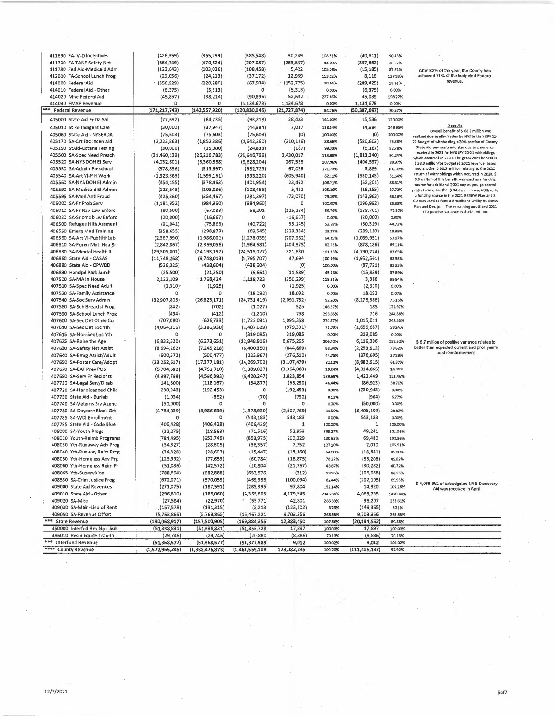| 411690 FA-IV-D Incentives    | (426, 359)      | (355, 299)      | (385, 548)      | 30,249         | 108.51%   | (40, 811)       | 90.43%    |                                                                                                        |
|------------------------------|-----------------|-----------------|-----------------|----------------|-----------|-----------------|-----------|--------------------------------------------------------------------------------------------------------|
| 411700 FA-TANF Safety Net    | (564, 749)      | (470, 624)      | (207, 087)      | (263, 537)     | 44.00%    | (357, 662)      | 36.67%    |                                                                                                        |
| 411780 Fed Aid-Medicaid Adm  | (123, 643)      | (103, 036)      | (108, 458)      | 5,422          | 105.26%   | (15, 185)       | 87.72%    | After 82% of the year, the County has                                                                  |
| 412000 FA-School Lunch Prog  | (29,056)        | (24, 213)       | (37, 172)       | 12,959         | 153.52%   | 8,116           | 127.93%   | achieved 71% of the budgeted Federal<br>revenue.                                                       |
| 414000 Federal Aid           | (356, 929)      | (220, 280)      | (67, 504)       | (152, 775)     | 30,64%    | (289, 425)      | 18.91%    |                                                                                                        |
| 414010 Federal Aid - Other   | (6, 375)        | (5,313)         | o               | (5, 313)       | 0.00%     | (6, 375)        | 0.00%     |                                                                                                        |
| 414020 Misc Federal Aid      | (45, 857)       | (38, 214)       | (90, 896)       | 52,632         | 237.86%   | 45,039          | 198.22%   |                                                                                                        |
| 414030 FMAP Revenue          | Ω               | $\Omega$        | (3, 134, 678)   | 1,134,678      | 0.00%     | 1,134,678       | 0.00%     |                                                                                                        |
| *** Federal Revenue          | (171, 217, 743) | (142, 557, 920) | (120, 830, 046) | (21, 727, 874) | 84.76%    | (50, 387, 697)  | 70.57%    |                                                                                                        |
| 405000 State Aid Fr Da 5al   | (77, 682)       | (64, 735)       | (93, 218)       | 28,433         | 144.00%   | 15,536          | 120.00%   |                                                                                                        |
| 405010 St Re Indigent Care   | (30,000)        | (37, 947)       | (44, 984)       | 7,037          | 118.54%   | 14,984          | 149.95%   | <b>State Aid</b>                                                                                       |
| 405060 State Aid - NYSERDA   | (75, 603)       | (75, 603)       | (75, 603)       | (0)            | 100.00%   | (0)             | 100.00%   | Overall benefit of \$ 68.5 million was                                                                 |
|                              |                 |                 |                 | (210, 126)     |           |                 |           | realized due to elimination by NYS in their SFY 21-                                                    |
| 405170 SA-Crt Fac Incen Aid  | (2, 222, 863)   | (1,852,386)     | (1,642,260)     |                | 88.66%    | (580, 603)      | 73.88%    | 22 Budget of withholding a 20% portion of County<br>State Aid payments and also due to payments        |
| 405190 StAid-Octane Testing  | (30,000)        | (25,000)        | (24, 833)       | (167)          | 99.33%    | (5, 167)        | 82.78%    | received In 2021 for NYS SFY 20-21 witholdings                                                         |
| 405500 SA-Spec Need Presch   | (31, 460, 139)  | (26, 216, 783)  | (29,646,799)    | 3,430,017      | 113.08%   | (1,813,340)     | 94.24%    | which occurred in 2020. The gross 2021 benefit is                                                      |
| 405520 SA-NYS DOH EI Serv    | (4,032,801)     | (3,360,668)     | (3,628,204)     | 267,536        | 107.96%   | (404, 597)      | 89.97%    | \$38.3 million for budgeted 2021 revenue losses                                                        |
| 405530 SA-Admin Preschool    | (378, 836)      | (315, 697)      | (382, 725)      | 67,028         | 121.23%   | 3,889           | 101.03%   | and another \$30.2 million relating to the 2021                                                        |
| 405540 SA-Art VI-P H Work    | (1,923,363)     | (1,599,161)     | (993, 220)      | (605, 940)     | 62.11%    | (930, 143)      | 51.64%    | return of withholdings which occurred In 2020. \$<br>9.3 million of this benefit was used as a funding |
| 405560 SA-NYS DOH EI Admin   | (454, 155)      | (378, 463)      | (401, 954)      | 23,492         | 106.21%   | (52, 201)       | 88.51%    | source for additional 2021 pay-as-you-go capital                                                       |
| 405590 SA-Medicaid El Admin  | $(123, 643)$ .  | (103, 036)      | (108, 458)      | 5,422          | 105.26%   | (15, 185)       | 87.72%    | project work, another \$ 34.6 million was utilized as                                                  |
| 405595 SA-Med Anti Fraud     | (425, 360)      | (354, 467)      | (281, 397)      | (73,070)       | 79.39%    | (143, 963)      | 66.16%    | a funding source in the 2021 RENEW Plan and \$                                                         |
| 406000 SA-Fr Prob Serv       | (1, 181, 952)   | (984, 960)      | (984, 960)      | o              | 100.00%   | (196,992)       | 83,33%    | 0.2 was used to fund a 8roadband Utility Business                                                      |
| 406010 SA-Fr Nav Law Enforc  | (80, 500)       | (67,083)        | 58,201          | (125, 284)     | $-86.76%$ | (138, 701)      | $-72.30%$ | Plan and Design. The remaining unutilized 2021                                                         |
| 406020 SA-Snomob Lw Enforc   | (20,000)        | (16, 667)       | o               | (16, 667)      | 0.00%     | (20,000)        | 0.00%     | YTD positive variance is \$ 24.4 million.                                                              |
| 406500 Refugee Hith Assment  | (91, 041)       | (75, 868)       | (40, 722)       | (35, 145)      | 53.68%    | (50, 319)       | 44.73%    |                                                                                                        |
|                              |                 | (298, 879)      | (69, 545)       |                |           | (289,110)       |           |                                                                                                        |
| 406550 Emerg Med Training    | (358, 655)      |                 |                 | (229, 334)     | 23.27%    |                 | 19.39%    |                                                                                                        |
| 406560 SA-Art VI-PubHlthLab  | (2,367,990)     | (1,986,001)     | (1, 278, 039)   | (707, 962)     | 64.35%    | (1,089,951)     | 53.97%    |                                                                                                        |
| 406810 SA-Foren Mntl Hea Sr  | (2,842,867)     | (2,369,056)     | (1,964,681)     | (404, 375)     | 82.93%    | (878, 186)      | 69.11%    |                                                                                                        |
| 406830 SA-Mental Health II   | (29, 305, 801)  | (24, 193, 197)  | (24, 515, 027)  | 321,830        | 101.33%   | (4,790,774)     | 83.65%    |                                                                                                        |
| 406860 State Aid - OASAS     | (11,748,268)    | (9,748,013)     | (9,795,707)     | 47,694         | 100.49%   | (1,952,561)     | 83.38%    |                                                                                                        |
| 406880 State Aid - OPWDD     | (526, 325)      | (438, 604)      | (438, 604)      | (0)            | 100.00%   | (87,721)        | 83.33%    |                                                                                                        |
| 406890 Handpd Park Surch     | (25, 500)       | (21, 250)       | (9,661)         | (11,589)       | 45.46%    | (15, 839)       | 37.89%    |                                                                                                        |
| 407500 SA-MA In House        | 2,122,109       | 1,768,424       | 2,118,723       | (350, 299)     | 119.81%   | 3,386           | 99.84%    |                                                                                                        |
| 407510 SA-Spec Need Adult    | (2,310)         | (1,925)         | 0               | (1,925)        | 0.00%     | (2,310)         | 0.00%     |                                                                                                        |
| 407520 SA-Family Assistance  | ٥               | o               | (18,092)        | 18,092         | 0.00%     | 18,092          | 0.00%     |                                                                                                        |
| 407540 SA-Soc Serv Admin     | (32,907,805)    | (26,823,171)    | (24, 731, 419)  | (2,091,752)    | 92.20%    | (8, 176, 386)   | 75.15%    |                                                                                                        |
| 407580 SA-Sch Breakfst Prog  | (842)           | (702)           | (1,027)         | 325            | 146.37%   | 185             | 121.97%   |                                                                                                        |
| 407590 SA-School Lunch Prog  | (494)           | (412)           | (1, 210)        | 798            | 293.85%   | 716             | 244.88%   |                                                                                                        |
| 407600 SA-Sec Det Other Co   | (707,080)       | (626, 733)      | (1,722,091)     | 1,095,358      | 274.77%   | 1,015,011       | 243.55%   |                                                                                                        |
|                              | (4,064,316)     | (3,386,930)     | (2,407,629)     | (979, 301)     |           | (1,656,687)     | 59.24%    |                                                                                                        |
| 407610 SA-Sec Det Loc Yth    |                 |                 |                 |                | 71.09%    |                 |           |                                                                                                        |
| 407615 SA-Non-Sec Loc Yth    | 0               | 0               | (319,085)       | 319,085        | 0.00%     | 319,085         | 0.00%     |                                                                                                        |
| 407625 SA-Raise the Age      | (6,832,520)     | (6, 273, 651)   | (12,948,916)    | 6,675,265      | 206.40%   | 6,116,396       | 189.52%   | \$6.7 million of positive variance relates to                                                          |
| 407630 SA-Safety Net Assist  | (8,694,262)     | (7, 245, 218)   | (6,400,350)     | (844, 869)     | 88.34%    | (2, 293, 912)   | 73.62%    | better than expected current and prior year's<br>cost reimbursement                                    |
| 407640 SA-Emrg Assist/Adult  | (600, 572)      | (500, 477)      | (223, 967)      | (276, 510)     | 44.75%    | (376, 605)      | 37.29%    |                                                                                                        |
| 407650 5A-Foster Care/Adopt  | (23, 252, 617)  | (17, 377, 181)  | (14, 269, 702)  | (3, 107, 479)  | 82.12%    | (8,982,915)     | 61.37%    |                                                                                                        |
| 407670 SA-EAF Prev POS       | (5,704,692)     | (4,753,910)     | (1,389,827)     | (3,364,083)    | 29.24%    | (4,314,865)     | 24.36%    |                                                                                                        |
| 407680 SA-Serv Fr Recipnts   | (4,997,798)     | (4,596,393)     | (6, 420, 247)   | 1,823,854      | 139.68%   | 1,422,449       | 128.46%   |                                                                                                        |
| 407710 SA-Legal Serv/Disab   | (141, 800)      | (118, 167)      | (54, 877)       | (63, 290)      | 46.44%    | (86,923)        | 38.70%    |                                                                                                        |
| 407720 SA-Handicapped Child  | (230, 943)      | (192, 453)      | 0               | (192, 453)     | 0.00%     | (230, 943)      | 0.00%     |                                                                                                        |
| 407730 State Aid - Burials   | (1,034)         | (862)           | (70)            | (792)          | 8.12%     | (964)           | 6.77%     |                                                                                                        |
| 407740 SA-Veterns Srv Agenc  | (50,000)        | o               |                 | 0              | 0.00%     | (50,000)        | 0.00%     |                                                                                                        |
| 407780 SA-Daycare Block Grt  | (4,784,039)     | (3,986,699)     | (1,378,930)     | (2,607,769)    | 34.59%    | (3,405,109)     | 28.82%    |                                                                                                        |
| 407785 SA-WDI Enrollment     | o               | o               |                 |                |           | 543,183         |           |                                                                                                        |
|                              |                 |                 | (543, 183)      | 543,183        | 0.00%     |                 | 0.00%     |                                                                                                        |
| 407795 State Aid - Code Blue | (406, 428)      | (406, 428)      | (406, 429)      | 1              | 100.00%   | 1               | 100.00%   |                                                                                                        |
| 408000 SA-Youth Progs        | (22, 275)       | (18, 563)       | (71, 516)       | 52,953         | 385.27%   | 49,241          | 321.06%   |                                                                                                        |
| 408020 Youth-Reimb Programs  | (784, 495)      | (653, 746)      | (853, 975)      | 200,229        | 130.63%   | 69,480          | 108.86%   |                                                                                                        |
| 408030 Yth-Runaway Adv Prog  | (34, 327)       | (28, 606)       | (36, 357)       | 7,752          | 127.10%   | 2,030           | 105.91%   |                                                                                                        |
| 408040 Yth-Runway Reim Prog  | (34, 328)       | (28, 607)       | (15, 447)       | (13, 160)      | 54.00%    | (18, 881)       | 45.00%    |                                                                                                        |
| 408050 Yth-Homeless Adv Prg  | (123,992)       | (77, 659)       | (60,784)        | (16, 875)      | 78.27%    | (63, 208)       | 49.02%    |                                                                                                        |
| 408060 Yth-Homeless Reim Pr  | (51,086)        | (42, 572)       | (20,804)        | (21, 767)      | 48.87%    | (30, 282)       | 4D.72%    |                                                                                                        |
| 408065 Yth-Supervision       | (788, 664)      | (682, 888)      | (632, 576)      | (312)          | 99.95%    | (106, 088)      | 86.55%    |                                                                                                        |
| 408530 SA-Crim Justice Prog  | (672,071)       | (570, 059)      | (459, 966)      | (100,094)      | 82.44%    | (202, 105)      | 69.93%    |                                                                                                        |
| 409000 State Aid Revenues    | (271, 075)      | (187, 591)      | (285, 395)      | 97,804         | 152.14%   | 14,320          | 105.28%   | \$4,068,952 of unbudgeted NYS Discovery                                                                |
| 409010 State Aid - Other     | (296, 810)      | (186,060)       | (4,355,605)     | 4,179,545      | 2346.34%  | 4,068,795       | 1470.84%  | Aid was received in April.                                                                             |
| 409020 SA-Misc               |                 |                 | (65, 771)       |                |           |                 |           |                                                                                                        |
|                              | (27, 564)       | (22, 970)       |                 | 42,801         | 286.33%   | 38,207          | 238.61%   |                                                                                                        |
| 409030 SA-Main-Lieu of Rent  | (157,578)       | (131, 315)      | (8, 213)        | (123, 102)     | 6.25%     | (149, 365)      | 5.21%     |                                                                                                        |
| 409050 SA-Revenue Offset     | (5,763,865)     | (5,763,865)     | (15, 467, 221)  | 9,703,356      | 268.35%   | 9,703,356       | 268.35%   |                                                                                                        |
| *** State Revenue            | (190,068,917)   | (157,500,905)   | (169, 884, 355) | 12,383,450     | 107.86%   | (20,184,562)    | 89.38%    |                                                                                                        |
| 450000 Interfnd Rev Non-Sub  | (51, 338, 831)  | (51, 338, 831)  | (51, 356, 728)  | 17,897         | 100.03%   | 17,897          | 100.03%   |                                                                                                        |
| 486010 Resid Equity Tran-In  | (29,746)        | (29,746)        | (20, 860)       | (8,886)        | 70.13%    | (8,886)         | 70.13%    |                                                                                                        |
| *** Interfund Revenue        | (51, 368, 577)  | (51, 368, 577)  | (51, 377, 589)  | 9,012          | 100.02%   | 9,012           | 100.02%   |                                                                                                        |
| **** County Revenue          | (1,572,965,245) | (1,338,476,873) | (1,461,559,108) | 123,082,235    | 109.20%   | (111, 406, 137) | 92.92%    |                                                                                                        |

12/7/2021 Sof7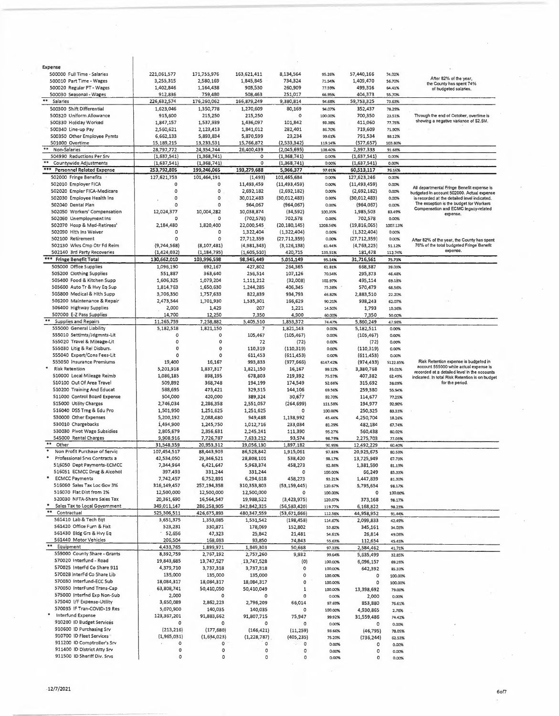| Expense                                                      |                         |                         |                         |                    |                   |                |          |                                                                                                 |
|--------------------------------------------------------------|-------------------------|-------------------------|-------------------------|--------------------|-------------------|----------------|----------|-------------------------------------------------------------------------------------------------|
| 500000 Full Time - Salaries                                  | 221,061,577             | 171,755,976             | 163,621,411             | 8,134,564          | 95.26%            | 57,440,166     | 74.02%   |                                                                                                 |
| 500010 Part Time - Wages                                     | 3,255,315               | 2,580,169               | 1,845,845               | 734,324            | 71.54%            | 1,409,470      | 56.70%   | After 82% of the year,<br>the County has spent 74%                                              |
| 500020 Regular PT - Wages                                    | 1,402,846               | 1,164,438               | 903,530                 | 260,909            | 77.59%            | 499.316        | 64.41%   | of budgeted salaries.                                                                           |
| 500030 Seasonal - Wages                                      | 912,836                 | 759,480                 | 508,463                 | 251,017            | 66.95%            | 404,373        | 55.70%   |                                                                                                 |
| **<br>Salaries                                               | 226,632,574             | 176,260,062             | 166,879,249             | 9,380,814          | 94.68%            | 59,753,325     | 73.63%   |                                                                                                 |
| 500300 Shift Differential                                    | 1,623,046               | 1,350,778               | 1,270,609               | 80,169             | 94.07%            | 352,437        | 78.29%   |                                                                                                 |
| 500320 Uniform Allowance                                     | 915,600                 | 215,250                 | 215,250                 | $\circ$            | 100.00%           | 700,350        | 23.51%   | Through the end of October, overtime is                                                         |
| 500330 Holiday Worked                                        | 1,847,157               | 1,537,939               | 1,436,097               | 101,842            | 93.38%            | 411,060        | 77.75%   | showing a negative variance of \$2.5M.                                                          |
| 500340 Line-up Pay                                           | 2,560,621               | 2,123,413               | 1,841,012               | 282,401            | 86.70%            | 719,609        | 71.90%   |                                                                                                 |
| 500350 Other Employee Pymts                                  | 6,662,133               | 5,893,834               | 5,870,599               | 23,234             | 99.61%            | 791,534        | 88.12%   |                                                                                                 |
| 501000 Overtime                                              | 15,189,215              | 13,233,531              | 15,766,872              | (2, 533, 342)      | 119.14%           | (577, 657)     | 103.80%  |                                                                                                 |
| **<br>Non-Salaries                                           | 28,797,772              | 24,354,744              | 26,400,439              | (2,045,695)        | 108.40%           | 2,397,333      | 91.68%   |                                                                                                 |
| 504990 Reductions Per Srv                                    | (1,637,541)             | (1,368,741)             | $\circ$                 | (1,368,741)        | 0.00%             | (1,637,541)    | 0.00%    |                                                                                                 |
| Countywide Adjustments                                       | (1,637,541)             | (1, 368, 741)           | 0                       | (1,368,741)        | 0.00%             | (1,637,541)    | 0.00%    |                                                                                                 |
| ***<br><b>Personnel Related Expense</b>                      | 253,792,805             | 199,246,065             | 193,279,688             | 5,966,377          | 97.01%            | 60,513,117     | 76.16%   |                                                                                                 |
| 502000 Fringe Benefits                                       | 127,621,753             | 101,464,191             | (1, 493)                | 101,465,684        | 0.00%             | 127,623,246    | 0.00%    |                                                                                                 |
| 502010 Employer FICA                                         | $\mathbf 0$             | 0                       | 11,493,459              | (11, 493, 459)     | 0.00%             | (11, 493, 459) | 0.00%    |                                                                                                 |
| 502020 Empler FICA-Medicare                                  | $\circ$                 | o                       | 2,692,182               | (2,692,182)        | 0.00%             | (2,692,182)    | 0.00%    | All departmental Fringe Benefit expense is                                                      |
| 502030 Employee Health ins                                   | $\circ$                 | $\circ$                 | 30,012,483              | (30, 012, 483)     | 0.00%             | (30, 012, 483) | 0.00%    | budgeted In account 502000. Actual expense<br>is recorded at the detailed level indicated.      |
| 502040 Dental Plan                                           | O                       | 0                       | 964,067                 | (964,067)          | 0.00%             | (964, 067)     | 0.00%    | The exception is the budget for Workers                                                         |
| 502050 Workers' Compensation                                 | 12,024,377              | 10,004,282              | 10,038,874              | (34, 592)          | 100,35%           | 1,985,503      | 83.49%   | Compensation and ECMC legacy-related                                                            |
| 502060 Unemployment Ins                                      |                         | 0                       | (702, 578)              | 702,578            | 0.00%             | 702,578        | 0.00%    | expense.                                                                                        |
| 502070 Hosp & Med-Retirees'                                  | 2,184,480               | 1,820,400               | 22,000,545              | (20, 180, 145)     | 1208.56%          | (19,816,065)   | 1007.13% |                                                                                                 |
| 502090 Hith Ins Waiver                                       | $\Omega$                | ٥                       | 1,322,404               | (1,322,404)        | 0.00%             | (1,322,404)    | 0.00%    |                                                                                                 |
| 502100 Retirement                                            | $\Omega$                | 0                       | 27,712,359              | (27, 712, 359)     | 0.00%             | (27, 712, 359) | 0.00%    |                                                                                                 |
| 502130 Wkrs Cmp Otr Fd Reim                                  | (9,744,568)             | (8, 107, 481)           | (4,981,343)             | (3, 126, 138)      |                   | (4,763,225)    |          | After 82% of the year, the County has spent<br>76% of the total budgeted Fringe Benefit         |
| 502140 3rd Party Recoveries                                  | (1,424,032)             | (1, 184, 795)           | (1,605,510)             | 420,715            | 61.44%<br>135.51% | 181,478        | 51.12%   | expense.                                                                                        |
| ***                                                          |                         |                         |                         |                    |                   |                | 112.74%  |                                                                                                 |
| <b>Fringe Benefit Total</b>                                  | 130,662,010             | 103,996,598             | 98,945,449              | 5,051,149          | 95.14%            | 31,716,561     | 75.73%   |                                                                                                 |
| 505000 Office Supplies                                       | 1,096,190               | 692,167                 | 427,802                 | 264,365            | 61.81%            | 668,387        | 39.03%   |                                                                                                 |
| 505200 Clothing Supplies                                     | 551,887                 | 363,640                 | 256,514                 | 107,126            | 70,54%            | 295,373        | 46.48%   |                                                                                                 |
| 505400 Food & Kitchen Supp                                   | 1,606,325               | 1,079,204               | 1,111,212               | (32,008)           | 102.97%           | 495,114        | 69.18%   |                                                                                                 |
| 505600 Auto Tr & Hvy Eq Sup                                  | 1,814,763               | 1,650,630               | 1,244,285               | 406,345            | 75.38%            | 570,479        | 68.56%   |                                                                                                 |
| 505800 Medical & Hith Supp                                   | 3,706,350               | 1,757,633               | 822,839                 | 934,793            | 46.82%            | 2,883,510      | 22.20%   |                                                                                                 |
| 506200 Maintenance & Repair                                  | 2,473,544               | 1,701,930               | 1,535,301               | 166,629            | 90.21%            | 938,243        | 62.07%   |                                                                                                 |
| 506400 Highway Supplies                                      | 2,000                   | 1,429                   | 207                     | 1,221              | 14.50%            | 1,793          | 10.36%   |                                                                                                 |
| 507000 E-Z Pass Supplies                                     | 14,700                  | 12,250                  | 7,350                   | 4,900              | 60.00%            | 7,350          | 50.00%   |                                                                                                 |
| <b>Supplies and Repairs</b>                                  | 11,265,759              | 7,258,882               | 5,405,510               | 1,853,372          | 74.47%            | 5,860,249      | 47.98%   |                                                                                                 |
| 555000 General Liability                                     | 5,182,518               | 1,821,150               | 7                       | 1,821,143          | 0.00%             | 5,182,511      | 0.00%    |                                                                                                 |
| 555010 Sett mts/Jdgmnts-Lit                                  | $\circ$                 | o                       | 105,467                 | (105, 467)         | 0.00%             | (105, 467)     | 0.00%    |                                                                                                 |
| 555020 Travel & Mileage-Lit                                  | $\circ$                 | 0                       | 72                      | (72)               | 0.00%             | (72)           | 0.00%    |                                                                                                 |
| 555030 Litig & Rel Disburs.                                  | $\mathbf 0$             | $\circ$                 | 110,319                 | (110, 319)         | 0.00%             | (110, 319)     | 0.00%    |                                                                                                 |
| 555040 Expert/Cons Fees-Lit                                  | o                       | $\circ$                 | 611,453                 | (611, 453)         | 0.00%             | (611, 453)     | 0.00%    |                                                                                                 |
| 555050 Insurance Premiums                                    | 19,400                  | 16,167                  | 993,833                 | (977, 666)         | 6147.42%          | (974, 433)     | 5122.85% | Risk Retention expense is budgeted in                                                           |
| ۰<br><b>Risk Retention</b>                                   | 5,201,918               | 1,837,317               | 1,821,150               | 16,167             | 99.12%            | 3,380,768      | 35.01%   | account 555000 while actual expense is                                                          |
| 510000 Local Mileage Reimb                                   | 1,086,185               | 898,195                 | 678,803                 | 219,392            | 75.57%            | 407,382        | 62.49%   | recorded at a detailed level in the accounts<br>indicated. In total Risk Retention is on budget |
| 510100 Out Of Area Travel                                    | 509,892                 | 368,748                 | 194,199                 | 174,549            | 52.66%            | 315,692        | 38.09%   | for the period.                                                                                 |
| 510200 Training And Educat                                   | 588,695                 | 473,421                 | 329,315                 | 144,106            | 69.56%            | 259,380        | 55.94%   |                                                                                                 |
| 511000 Control Board Expense                                 | 504,000                 | 420,000                 | 389,324                 | 30,677             | 92.70%            | 114,677        | 77.25%   |                                                                                                 |
| 515000 Utility Charges                                       | 2,746,034               | 2,286,358               | 2,551,057               | (264, 699)         | 111.58%           | 194,977        | 92.90%   |                                                                                                 |
| 516040 DS5 Trng & Edu Pro                                    | 1,501,950               | 1,251,625               | 1,251,625               | ٥                  | 100.00%           | 250,325        | 83.33%   |                                                                                                 |
| 530000 Other Expenses                                        | 5,200,192               | 2,088,480               | 949,488                 | 1,138,992          | 45.46%            | 4,250,704      | 18.26%   |                                                                                                 |
| 530010 Chargebacks                                           | 1,494,900               | 1,245,750               | 1,012,716               | 233,034            | 81.29%            | 482,184        | 67.74%   |                                                                                                 |
| 530030 Pivot Wage Subsidies                                  | 2,805,679               | 2,356,631               | 2,245,241               | 111,390            |                   |                |          |                                                                                                 |
| 545000 Rental Charges                                        | 9,908,916               |                         |                         |                    | 95.27%            | 560,438        | 80.02%   |                                                                                                 |
| $***$<br>Other                                               | 31,548,359              | 7,726,787<br>20,953,312 | 7,633,212<br>19,056,130 | 93,574             | 98.79%            | 2,275,703      | 77.03%   |                                                                                                 |
| Non Profit Purchase of Servic                                | 107,454,517             |                         |                         | 1,897,182          | 90.95%            | 12,492,229     | 60.40%   |                                                                                                 |
|                                                              |                         | 88,443,903              | 86,528,842              | 1,915,061          | 97.83%            | 20,925,675     | 80.53%   |                                                                                                 |
| Professional Srvs Contracts a<br>51,6050 Dept Payments-ECMCC | 42,534,050<br>7,344,964 | 29,346,521              | 28,808,101              | 538,420<br>458,273 | 98.17%            | 13,725,949     | 67.73%   |                                                                                                 |
|                                                              |                         | 6,421,647               | 5,963,374               |                    | 92.86%            | 1,381,590      | 81.19%   |                                                                                                 |
| 516051 ECMCC Drug & Alcohol                                  | 397,493                 | 331,244                 | 331,244                 | $\circ$            | 100.00%           | 66,249         | 83.33%   |                                                                                                 |
| <b>ECMCC Payments</b>                                        | 7,742,457               | 6,752,891               | 6,294,618               | 458,273            | 93.21%            | 1,447,839      | 81.30%   |                                                                                                 |
| 516060 Sales Tax Loc Gov 3%                                  | 316,149,457             | 257,194,358             | 310,353,803             | (53, 159, 445)     | 120.67%           | 5,795,654      | 98.17%   |                                                                                                 |
| 516070 Flat Dist from 1%                                     | 12,500,000              | 12,500,000              | 12,500,000              | ٥                  | 100.00%           | $\circ$        | 100.00%  |                                                                                                 |
| 520030 NFTA-Share Sales Tax                                  | 20,361,690              | 16,564,547              | 19,988,522              | (3,423,975)        | 120.67%           | 373,168        | 98.17%   |                                                                                                 |
| Sales Tax to Local Government<br>$\pm\pm$                    | 349,011,147             | 286,258,905             | 342,842,325             | (56, 583, 420)     | 119.77%           | 6,168,822      | 98.23%   |                                                                                                 |
| Contractual                                                  | 525,306,511             | 426,675,893             | 480, 347, 559           | (53,671,666)       | 112.58%           | 44,958,952     | 91.44%   | $\sim$                                                                                          |
| 561410 Lab & Tech Eqt                                        | 3,651,375               | 1,353,085               | 1,551,542               | (198, 458)         | 114.67%           | 2,099,833      | 42.49%   |                                                                                                 |
| 561420 Office Furn & Fixt                                    | 523,231                 | 330,871                 | 178,069                 | 152,802            | 53.82%            | 345,161        | 34.03%   |                                                                                                 |
| 561430 Bldg Grs & Hvy Eq                                     | 52,656                  | 47,323                  | 25,842                  | 21,481             | 54.61%            | 26,814         | 49.08%   |                                                                                                 |
| 561440 Motor Vehicles                                        | 206,504                 | 168,693                 | 93,850                  | 74,843             | 55.63%            | 112,654        | 45.45%   |                                                                                                 |
| Equipment                                                    | 4,433,765               | 1,899,971               | 1,849,303               | 50,668             | 97.33%            | 2,584,462      | 41.71%   |                                                                                                 |
| 559000 County Share - Grants                                 | 8,392,759               | 2,767,192               | 2,757,260               | 9,932              | 99.64%            | 5,635,499      | 32.85%   |                                                                                                 |
| 570020 Interfund - Road                                      | 19,843,685              | 13,747,527              | 13,747,528              | (0)                | 100.00%           | 6,096,157      | 69.28%   |                                                                                                 |
| 570025 InterFd Co Share 911                                  | 4,379,710               | 3,737,318               | 3,737,318               | $\circ$            | 100.00%           | 642,392        | 85.33%   |                                                                                                 |
| 570028 InterFd Co Share Lib                                  | 135,000                 | 135,000                 | 135,000                 | ٥                  | 100.00%           | 0              | 100.00%  |                                                                                                 |
| 570030 Interfund-ECC Sub                                     | 18,084,317              | 18,084,317              | 18,084,317              | 0                  | 100.00%           | ٥              | 100.00%  |                                                                                                 |
| 570050 InterFund Trans-Cap                                   | 63,808,741              | 50,410,050              | 50,410,049              | 1                  | 100.00%           | 13,398,692     | 79.00%   |                                                                                                 |
| 575000 Interfnd Exp Non-Sub                                  | 2,000                   | ٥                       | ٥                       | 0                  | 0.00%             | 2,000          | 0.00%    |                                                                                                 |
| 575040 I/F Expense-Utility                                   | 3,650,089               | 2,862,223               | 2,796,209               | 66,014             | 97.69%            | 853,880        | 76.61%   |                                                                                                 |
| 570035 IF Tran-COVID-19 Res                                  | 5,070,900               | 140,035                 | 140,035                 | ٥                  | 100.00%           | 4,930,865      | 2,76%    |                                                                                                 |
| Interfund Expense                                            | 123,367,201             | 91,883,662              | 91,807,715              | 75,947             | 99.92%            | 31,559,486     | 74.42%   |                                                                                                 |
| 910200 ID Budget Services                                    | 0                       | ٥                       | $\circ$                 | 0                  | 0.00%             | o              | 0.00%    |                                                                                                 |
| 910600 ID Purchasing Srv                                     | (213, 216)              | (177,680)               | (166, 421)              | (11,259)           | 93.66%            | (46, 795)      | 78.05%   |                                                                                                 |
| 910700 ID Fleet Services                                     | (1,965,031)             | (1,634,023)             | (1,228,787)             | (405,235)          | 75.20%            | (736,244)      | 62.53%   |                                                                                                 |
| 911200 ID Comptroller's Srv                                  | ٥                       | $\circ$                 | $\circ$                 | 0<br>7.            | 0.00%             | ٥              | 0.00%    |                                                                                                 |
|                                                              |                         |                         |                         |                    |                   |                |          |                                                                                                 |
| 911400 ID District Atty Srv                                  | 0                       | 0                       | 0                       | ٥                  | 0.00%             | ٥              | 0.00%    |                                                                                                 |

 $\overline{\phantom{a}}$ 

 $\hat{\boldsymbol{\beta}}$